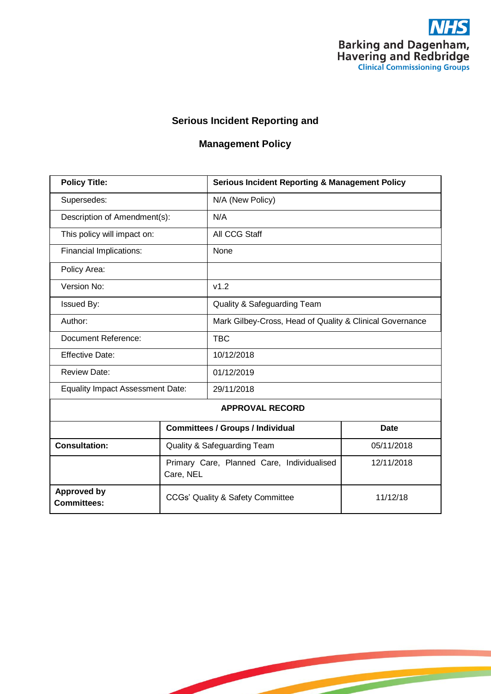

1

### **Serious Incident Reporting and**

# **Management Policy**

| <b>Policy Title:</b>                     |                                                         | <b>Serious Incident Reporting &amp; Management Policy</b> |             |  |
|------------------------------------------|---------------------------------------------------------|-----------------------------------------------------------|-------------|--|
| Supersedes:                              |                                                         | N/A (New Policy)                                          |             |  |
| Description of Amendment(s):             |                                                         | N/A                                                       |             |  |
| This policy will impact on:              |                                                         | All CCG Staff                                             |             |  |
| Financial Implications:                  |                                                         | None                                                      |             |  |
| Policy Area:                             |                                                         |                                                           |             |  |
| Version No:                              |                                                         | v1.2                                                      |             |  |
| <b>Issued By:</b>                        |                                                         | Quality & Safeguarding Team                               |             |  |
| Author:                                  |                                                         | Mark Gilbey-Cross, Head of Quality & Clinical Governance  |             |  |
| Document Reference:                      |                                                         | <b>TBC</b>                                                |             |  |
| <b>Effective Date:</b>                   |                                                         | 10/12/2018                                                |             |  |
| <b>Review Date:</b>                      |                                                         | 01/12/2019                                                |             |  |
| <b>Equality Impact Assessment Date:</b>  |                                                         | 29/11/2018                                                |             |  |
| <b>APPROVAL RECORD</b>                   |                                                         |                                                           |             |  |
|                                          | <b>Committees / Groups / Individual</b>                 |                                                           | <b>Date</b> |  |
| <b>Consultation:</b>                     | <b>Quality &amp; Safeguarding Team</b>                  |                                                           | 05/11/2018  |  |
|                                          | Primary Care, Planned Care, Individualised<br>Care, NEL |                                                           | 12/11/2018  |  |
| <b>Approved by</b><br><b>Committees:</b> | CCGs' Quality & Safety Committee                        |                                                           | 11/12/18    |  |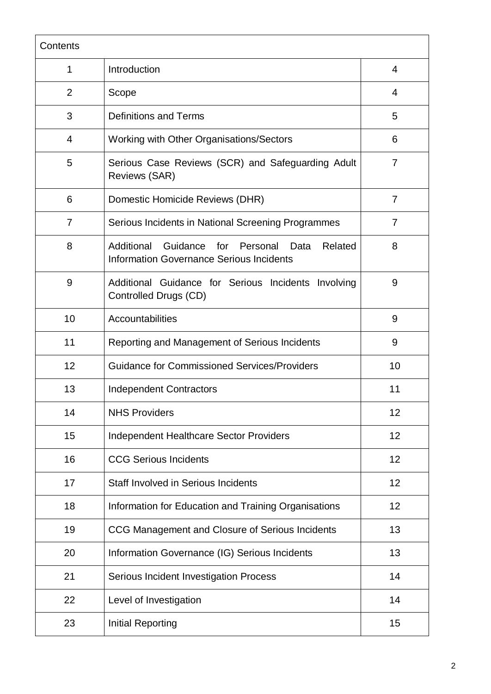| Contents       |                                                                                                                 |    |
|----------------|-----------------------------------------------------------------------------------------------------------------|----|
| 1              | Introduction                                                                                                    | 4  |
| $\overline{2}$ | Scope                                                                                                           | 4  |
| 3              | <b>Definitions and Terms</b>                                                                                    | 5  |
| 4              | Working with Other Organisations/Sectors                                                                        | 6  |
| 5              | Serious Case Reviews (SCR) and Safeguarding Adult<br><b>Reviews (SAR)</b>                                       | 7  |
| 6              | Domestic Homicide Reviews (DHR)                                                                                 | 7  |
| $\overline{7}$ | Serious Incidents in National Screening Programmes                                                              | 7  |
| 8              | Additional<br>Guidance<br>for<br>Personal<br>Related<br>Data<br><b>Information Governance Serious Incidents</b> | 8  |
| 9              | Additional Guidance for Serious Incidents Involving<br>Controlled Drugs (CD)                                    | 9  |
| 10             | Accountabilities                                                                                                | 9  |
| 11             | Reporting and Management of Serious Incidents                                                                   | 9  |
| 12             | <b>Guidance for Commissioned Services/Providers</b>                                                             | 10 |
| 13             | <b>Independent Contractors</b>                                                                                  | 11 |
| 14             | <b>NHS Providers</b>                                                                                            | 12 |
| 15             | <b>Independent Healthcare Sector Providers</b>                                                                  | 12 |
| 16             | <b>CCG Serious Incidents</b>                                                                                    | 12 |
| 17             | <b>Staff Involved in Serious Incidents</b>                                                                      | 12 |
| 18             | Information for Education and Training Organisations                                                            | 12 |
| 19             | CCG Management and Closure of Serious Incidents                                                                 | 13 |
| 20             | Information Governance (IG) Serious Incidents                                                                   | 13 |
| 21             | Serious Incident Investigation Process                                                                          | 14 |
| 22             | Level of Investigation                                                                                          | 14 |
| 23             | <b>Initial Reporting</b>                                                                                        | 15 |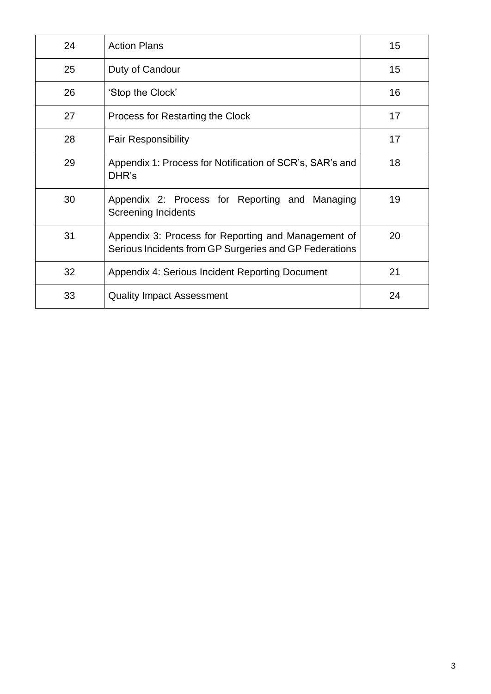| 24 | <b>Action Plans</b>                                                                                           | 15 |
|----|---------------------------------------------------------------------------------------------------------------|----|
| 25 | Duty of Candour                                                                                               | 15 |
| 26 | 'Stop the Clock'                                                                                              | 16 |
| 27 | Process for Restarting the Clock                                                                              | 17 |
| 28 | <b>Fair Responsibility</b>                                                                                    | 17 |
| 29 | Appendix 1: Process for Notification of SCR's, SAR's and<br>DHR's                                             | 18 |
| 30 | Appendix 2: Process for Reporting and Managing<br><b>Screening Incidents</b>                                  | 19 |
| 31 | Appendix 3: Process for Reporting and Management of<br>Serious Incidents from GP Surgeries and GP Federations | 20 |
| 32 | Appendix 4: Serious Incident Reporting Document                                                               | 21 |
| 33 | <b>Quality Impact Assessment</b>                                                                              | 24 |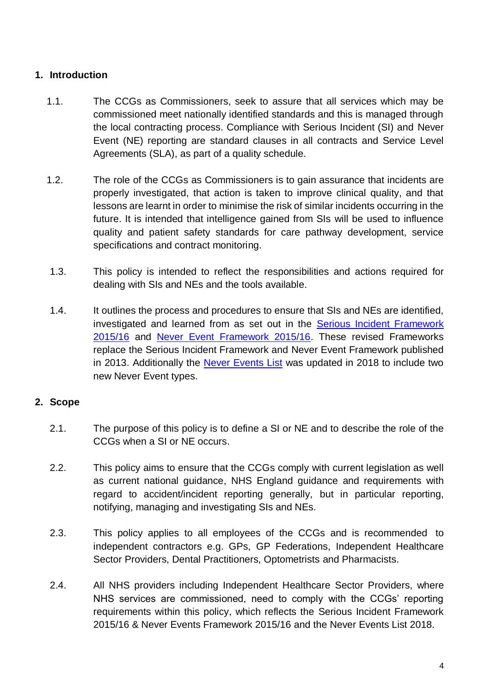### **1. Introduction**

- 1.1. The CCGs as Commissioners, seek to assure that all services which may be commissioned meet nationally identified standards and this is managed through the local contracting process. Compliance with Serious Incident (SI) and Never Event (NE) reporting are standard clauses in all contracts and Service Level Agreements (SLA), as part of a quality schedule.
- 1.2. The role of the CCGs as Commissioners is to gain assurance that incidents are properly investigated, that action is taken to improve clinical quality, and that lessons are learnt in order to minimise the risk of similar incidents occurring in the future. It is intended that intelligence gained from SIs will be used to influence quality and patient safety standards for care pathway development, service specifications and contract monitoring.
- 1.3. This policy is intended to reflect the responsibilities and actions required for dealing with SIs and NEs and the tools available.
- 1.4. It outlines the process and procedures to ensure that SIs and NEs are identified, investigated and learned from as set out in the [Serious Incident Framework](https://www.england.nhs.uk/wp-content/uploads/2015/04/serious-incidnt-framwrk-upd.pdf)  [2015/16](https://www.england.nhs.uk/wp-content/uploads/2015/04/serious-incidnt-framwrk-upd.pdf) and [Never Event Framework 2015/16.](https://www.england.nhs.uk/wp-content/uploads/2015/04/never-evnts-pol-framwrk-apr.pdf) These revised Frameworks replace the Serious Incident Framework and Never Event Framework published in 2013. Additionally the [Never Events List](https://improvement.nhs.uk/documents/2266/Never_Events_list_2018_FINAL_v5.pdf) was updated in 2018 to include two new Never Event types.

### **2. Scope**

- 2.1. The purpose of this policy is to define a SI or NE and to describe the role of the CCGs when a SI or NE occurs.
- 2.2. This policy aims to ensure that the CCGs comply with current legislation as well as current national guidance, NHS England guidance and requirements with regard to accident/incident reporting generally, but in particular reporting, notifying, managing and investigating SIs and NEs.
- 2.3. This policy applies to all employees of the CCGs and is recommended to independent contractors e.g. GPs, GP Federations, Independent Healthcare Sector Providers, Dental Practitioners, Optometrists and Pharmacists.
- 2.4. All NHS providers including Independent Healthcare Sector Providers, where NHS services are commissioned, need to comply with the CCGs' reporting requirements within this policy, which reflects the Serious Incident Framework 2015/16 & Never Events Framework 2015/16 and the Never Events List 2018.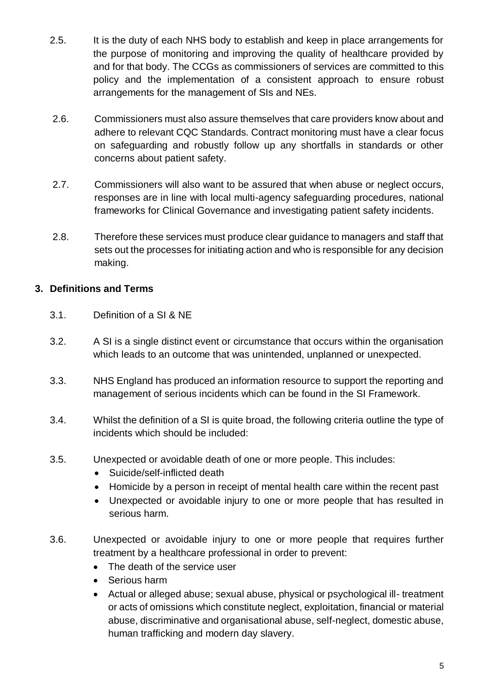- 2.5. It is the duty of each NHS body to establish and keep in place arrangements for the purpose of monitoring and improving the quality of healthcare provided by and for that body. The CCGs as commissioners of services are committed to this policy and the implementation of a consistent approach to ensure robust arrangements for the management of SIs and NEs.
- 2.6. Commissioners must also assure themselves that care providers know about and adhere to relevant CQC Standards. Contract monitoring must have a clear focus on safeguarding and robustly follow up any shortfalls in standards or other concerns about patient safety.
- 2.7. Commissioners will also want to be assured that when abuse or neglect occurs, responses are in line with local multi-agency safeguarding procedures, national frameworks for Clinical Governance and investigating patient safety incidents.
- 2.8. Therefore these services must produce clear guidance to managers and staff that sets out the processes for initiating action and who is responsible for any decision making.

### **3. Definitions and Terms**

- 3.1. Definition of a SI & NE
- 3.2. A SI is a single distinct event or circumstance that occurs within the organisation which leads to an outcome that was unintended, unplanned or unexpected.
- 3.3. NHS England has produced an information resource to support the reporting and management of serious incidents which can be found in the SI Framework.
- 3.4. Whilst the definition of a SI is quite broad, the following criteria outline the type of incidents which should be included:
- 3.5. Unexpected or avoidable death of one or more people. This includes:
	- Suicide/self-inflicted death
	- Homicide by a person in receipt of mental health care within the recent past
	- Unexpected or avoidable injury to one or more people that has resulted in serious harm.
- 3.6. Unexpected or avoidable injury to one or more people that requires further treatment by a healthcare professional in order to prevent:
	- The death of the service user
	- Serious harm
	- Actual or alleged abuse; sexual abuse, physical or psychological ill- treatment or acts of omissions which constitute neglect, exploitation, financial or material abuse, discriminative and organisational abuse, self-neglect, domestic abuse, human trafficking and modern day slavery.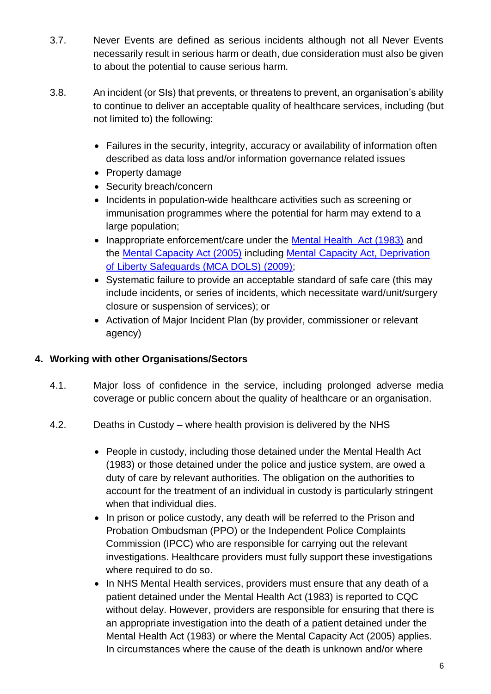- 3.7. Never Events are defined as serious incidents although not all Never Events necessarily result in serious harm or death, due consideration must also be given to about the potential to cause serious harm.
- 3.8. An incident (or SIs) that prevents, or threatens to prevent, an organisation's ability to continue to deliver an acceptable quality of healthcare services, including (but not limited to) the following:
	- Failures in the security, integrity, accuracy or availability of information often described as data loss and/or information governance related issues
	- Property damage
	- Security breach/concern
	- Incidents in population-wide healthcare activities such as screening or immunisation programmes where the potential for harm may extend to a large population;
	- Inappropriate enforcement/care under the [Mental Health Act \(1983\)](https://www.legislation.gov.uk/ukpga/1983/20/contents) and the [Mental Capacity Act \(2005\)](https://www.legislation.gov.uk/ukpga/2005/9/contents) including [Mental Capacity Act, Deprivation](https://www.scie.org.uk/mca/dols/at-a-glance)  of Liberty [Safeguards \(MCA DOLS\)](https://www.scie.org.uk/mca/dols/at-a-glance) (2009);
	- Systematic failure to provide an acceptable standard of safe care (this may include incidents, or series of incidents, which necessitate ward/unit/surgery closure or suspension of services); or
	- Activation of Major Incident Plan (by provider, commissioner or relevant agency)

### **4. Working with other Organisations/Sectors**

- 4.1. Major loss of confidence in the service, including prolonged adverse media coverage or public concern about the quality of healthcare or an organisation.
- 4.2. Deaths in Custody where health provision is delivered by the NHS
	- People in custody, including those detained under the Mental Health Act (1983) or those detained under the police and justice system, are owed a duty of care by relevant authorities. The obligation on the authorities to account for the treatment of an individual in custody is particularly stringent when that individual dies.
	- In prison or police custody, any death will be referred to the Prison and Probation Ombudsman (PPO) or the Independent Police Complaints Commission (IPCC) who are responsible for carrying out the relevant investigations. Healthcare providers must fully support these investigations where required to do so.
	- In NHS Mental Health services, providers must ensure that any death of a patient detained under the Mental Health Act (1983) is reported to CQC without delay. However, providers are responsible for ensuring that there is an appropriate investigation into the death of a patient detained under the Mental Health Act (1983) or where the Mental Capacity Act (2005) applies. In circumstances where the cause of the death is unknown and/or where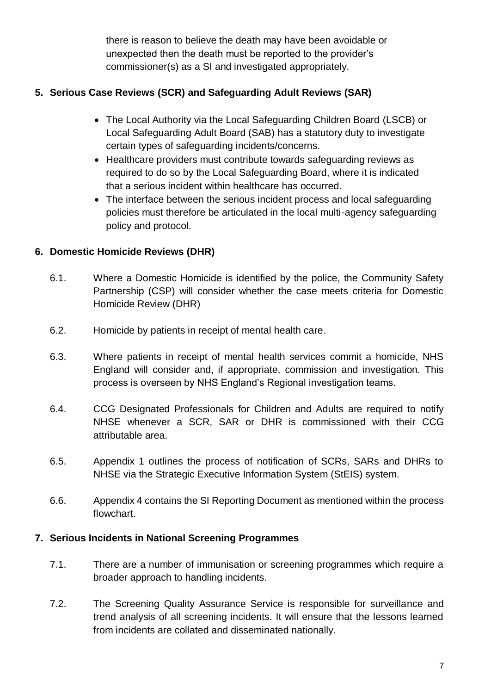there is reason to believe the death may have been avoidable or unexpected then the death must be reported to the provider's commissioner(s) as a SI and investigated appropriately.

### **5. Serious Case Reviews (SCR) and Safeguarding Adult Reviews (SAR)**

- The Local Authority via the Local Safeguarding Children Board (LSCB) or Local Safeguarding Adult Board (SAB) has a statutory duty to investigate certain types of safeguarding incidents/concerns.
- Healthcare providers must contribute towards safeguarding reviews as required to do so by the Local Safeguarding Board, where it is indicated that a serious incident within healthcare has occurred.
- The interface between the serious incident process and local safeguarding policies must therefore be articulated in the local multi-agency safeguarding policy and protocol.

### **6. Domestic Homicide Reviews (DHR)**

- 6.1. Where a Domestic Homicide is identified by the police, the Community Safety Partnership (CSP) will consider whether the case meets criteria for Domestic Homicide Review (DHR)
- 6.2. Homicide by patients in receipt of mental health care.
- 6.3. Where patients in receipt of mental health services commit a homicide, NHS England will consider and, if appropriate, commission and investigation. This process is overseen by NHS England's Regional investigation teams.
- 6.4. CCG Designated Professionals for Children and Adults are required to notify NHSE whenever a SCR, SAR or DHR is commissioned with their CCG attributable area.
- 6.5. Appendix 1 outlines the process of notification of SCRs, SARs and DHRs to NHSE via the Strategic Executive Information System (StEIS) system.
- 6.6. Appendix 4 contains the SI Reporting Document as mentioned within the process flowchart.

### **7. Serious Incidents in National Screening Programmes**

- 7.1. There are a number of immunisation or screening programmes which require a broader approach to handling incidents.
- 7.2. The Screening Quality Assurance Service is responsible for surveillance and trend analysis of all screening incidents. It will ensure that the lessons learned from incidents are collated and disseminated nationally.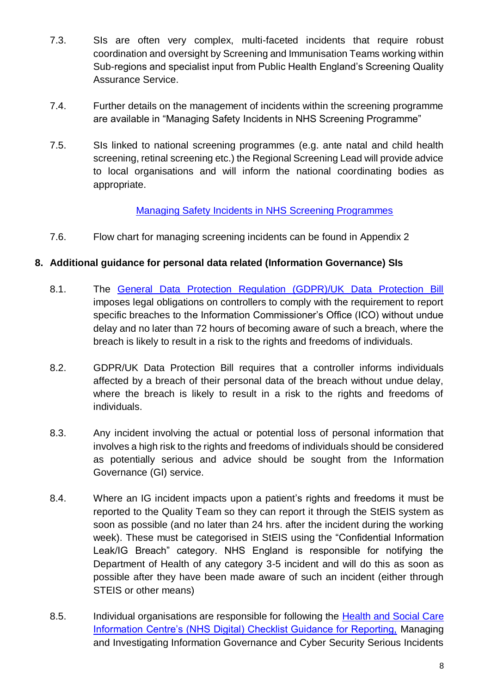- 7.3. SIs are often very complex, multi-faceted incidents that require robust coordination and oversight by Screening and Immunisation Teams working within Sub-regions and specialist input from Public Health England's Screening Quality Assurance Service.
- 7.4. Further details on the management of incidents within the screening programme are available in "Managing Safety Incidents in NHS Screening Programme"
- 7.5. SIs linked to national screening programmes (e.g. ante natal and child health screening, retinal screening etc.) the Regional Screening Lead will provide advice to local organisations and will inform the national coordinating bodies as appropriate.

### [Managing Safety Incidents in NHS Screening Programmes](https://assets.publishing.service.gov.uk/government/uploads/system/uploads/attachment_data/file/672737/Managing_safety_incidents_in_National_screening_programmes.pdf)

7.6. Flow chart for managing screening incidents can be found in Appendix 2

### **8. Additional guidance for personal data related (Information Governance) SIs**

- 8.1. The [General Data Protection Regulation \(GDPR\)/UK Data Protection Bill](http://www.legislation.gov.uk/ukpga/2018/12/pdfs/ukpga_20180012_en.pdf) imposes legal obligations on controllers to comply with the requirement to report specific breaches to the Information Commissioner's Office (ICO) without undue delay and no later than 72 hours of becoming aware of such a breach, where the breach is likely to result in a risk to the rights and freedoms of individuals.
- 8.2. GDPR/UK Data Protection Bill requires that a controller informs individuals affected by a breach of their personal data of the breach without undue delay, where the breach is likely to result in a risk to the rights and freedoms of individuals.
- 8.3. Any incident involving the actual or potential loss of personal information that involves a high risk to the rights and freedoms of individuals should be considered as potentially serious and advice should be sought from the Information Governance (GI) service.
- 8.4. Where an IG incident impacts upon a patient's rights and freedoms it must be reported to the Quality Team so they can report it through the StEIS system as soon as possible (and no later than 24 hrs. after the incident during the working week). These must be categorised in StEIS using the "Confidential Information Leak/IG Breach" category. NHS England is responsible for notifying the Department of Health of any category 3-5 incident and will do this as soon as possible after they have been made aware of such an incident (either through STEIS or other means)
- 8.5. Individual organisations are responsible for following the Health and Social Care [Information Centre's \(NHS Digital\) Checklist Guidance for Reporting,](https://www.dsptoolkit.nhs.uk/?AspxAutoDetectCookieSupport=1) Managing and Investigating Information Governance and Cyber Security Serious Incidents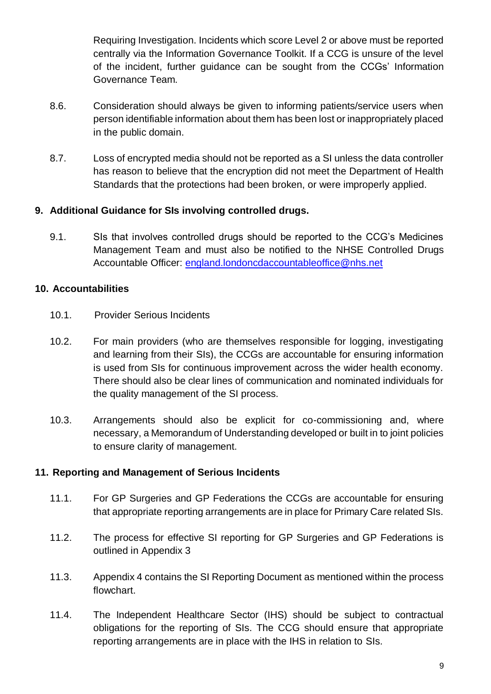Requiring Investigation. Incidents which score Level 2 or above must be reported centrally via the Information Governance Toolkit. If a CCG is unsure of the level of the incident, further guidance can be sought from the CCGs' Information Governance Team.

- 8.6. Consideration should always be given to informing patients/service users when person identifiable information about them has been lost or inappropriately placed in the public domain.
- 8.7. Loss of encrypted media should not be reported as a SI unless the data controller has reason to believe that the encryption did not meet the Department of Health Standards that the protections had been broken, or were improperly applied.

### **9. Additional Guidance for SIs involving controlled drugs.**

9.1. SIs that involves controlled drugs should be reported to the CCG's Medicines Management Team and must also be notified to the NHSE Controlled Drugs Accountable Officer: [england.londoncdaccountableoffice@nhs.net](mailto:england.londoncdaccountableoffice@nhs.net)

### **10. Accountabilities**

- 10.1. Provider Serious Incidents
- 10.2. For main providers (who are themselves responsible for logging, investigating and learning from their SIs), the CCGs are accountable for ensuring information is used from SIs for continuous improvement across the wider health economy. There should also be clear lines of communication and nominated individuals for the quality management of the SI process.
- 10.3. Arrangements should also be explicit for co-commissioning and, where necessary, a Memorandum of Understanding developed or built in to joint policies to ensure clarity of management.

### **11. Reporting and Management of Serious Incidents**

- 11.1. For GP Surgeries and GP Federations the CCGs are accountable for ensuring that appropriate reporting arrangements are in place for Primary Care related SIs.
- 11.2. The process for effective SI reporting for GP Surgeries and GP Federations is outlined in Appendix 3
- 11.3. Appendix 4 contains the SI Reporting Document as mentioned within the process flowchart.
- 11.4. The Independent Healthcare Sector (IHS) should be subject to contractual obligations for the reporting of SIs. The CCG should ensure that appropriate reporting arrangements are in place with the IHS in relation to SIs.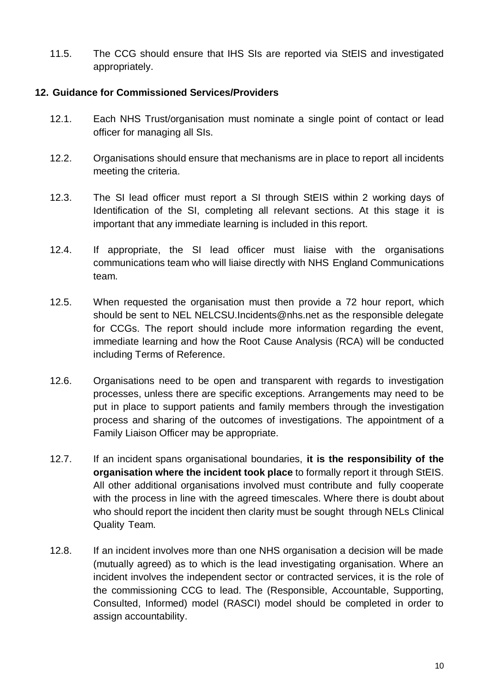11.5. The CCG should ensure that IHS SIs are reported via StEIS and investigated appropriately.

#### **12. Guidance for Commissioned Services/Providers**

- 12.1. Each NHS Trust/organisation must nominate a single point of contact or lead officer for managing all SIs.
- 12.2. Organisations should ensure that mechanisms are in place to report all incidents meeting the criteria.
- 12.3. The SI lead officer must report a SI through StEIS within 2 working days of Identification of the SI, completing all relevant sections. At this stage it is important that any immediate learning is included in this report.
- 12.4. If appropriate, the SI lead officer must liaise with the organisations communications team who will liaise directly with NHS England Communications team.
- 12.5. When requested the organisation must then provide a 72 hour report, which should be sent to NEL NELCSU.Incidents@nhs.net as the responsible delegate for CCGs. The report should include more information regarding the event, immediate learning and how the Root Cause Analysis (RCA) will be conducted including Terms of Reference.
- 12.6. Organisations need to be open and transparent with regards to investigation processes, unless there are specific exceptions. Arrangements may need to be put in place to support patients and family members through the investigation process and sharing of the outcomes of investigations. The appointment of a Family Liaison Officer may be appropriate.
- 12.7. If an incident spans organisational boundaries, **it is the responsibility of the organisation where the incident took place** to formally report it through StEIS. All other additional organisations involved must contribute and fully cooperate with the process in line with the agreed timescales. Where there is doubt about who should report the incident then clarity must be sought through NELs Clinical Quality Team.
- 12.8. If an incident involves more than one NHS organisation a decision will be made (mutually agreed) as to which is the lead investigating organisation. Where an incident involves the independent sector or contracted services, it is the role of the commissioning CCG to lead. The (Responsible, Accountable, Supporting, Consulted, Informed) model (RASCI) model should be completed in order to assign accountability.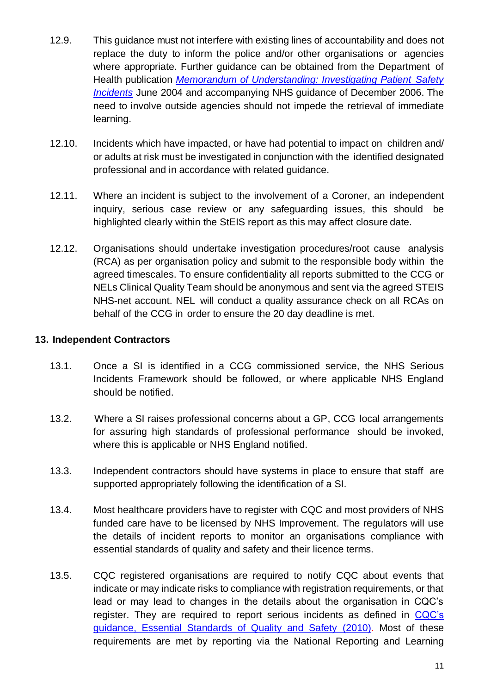- 12.9. This guidance must not interfere with existing lines of accountability and does not replace the duty to inform the police and/or other organisations or agencies where appropriate. Further guidance can be obtained from the Department of Health publication *[Memorandum of Understanding: Investigating Patient](http://webarchive.nationalarchives.gov.uk/20130105133950/http:/www.dh.gov.uk/prod_consum_dh/groups/dh_digitalassets/@dh/@en/documents/digitalasset/dh_4129919.pdf) Safety [Incidents](http://webarchive.nationalarchives.gov.uk/20130105133950/http:/www.dh.gov.uk/prod_consum_dh/groups/dh_digitalassets/@dh/@en/documents/digitalasset/dh_4129919.pdf)* June 2004 and accompanying NHS guidance of December 2006. The need to involve outside agencies should not impede the retrieval of immediate learning.
- 12.10. Incidents which have impacted, or have had potential to impact on children and/ or adults at risk must be investigated in conjunction with the identified designated professional and in accordance with related guidance.
- 12.11. Where an incident is subject to the involvement of a Coroner, an independent inquiry, serious case review or any safeguarding issues, this should be highlighted clearly within the StEIS report as this may affect closure date.
- 12.12. Organisations should undertake investigation procedures/root cause analysis (RCA) as per organisation policy and submit to the responsible body within the agreed timescales. To ensure confidentiality all reports submitted to the CCG or NELs Clinical Quality Team should be anonymous and sent via the agreed STEIS NHS-net account. NEL will conduct a quality assurance check on all RCAs on behalf of the CCG in order to ensure the 20 day deadline is met.

### **13. Independent Contractors**

- 13.1. Once a SI is identified in a CCG commissioned service, the NHS Serious Incidents Framework should be followed, or where applicable NHS England should be notified.
- 13.2. Where a SI raises professional concerns about a GP, CCG local arrangements for assuring high standards of professional performance should be invoked, where this is applicable or NHS England notified.
- 13.3. Independent contractors should have systems in place to ensure that staff are supported appropriately following the identification of a SI.
- 13.4. Most healthcare providers have to register with CQC and most providers of NHS funded care have to be licensed by NHS Improvement. The regulators will use the details of incident reports to monitor an organisations compliance with essential standards of quality and safety and their licence terms.
- 13.5. CQC registered organisations are required to notify CQC about events that indicate or may indicate risks to compliance with registration requirements, or that lead or may lead to changes in the details about the organisation in CQC's register. They are required to report serious incidents as defined in [CQC's](https://services.cqc.org.uk/sites/default/files/gac_-_dec_2011_update.pdf)  [guidance, Essential Standards of Quality and Safety](https://services.cqc.org.uk/sites/default/files/gac_-_dec_2011_update.pdf) (2010). Most of these requirements are met by reporting via the National Reporting and Learning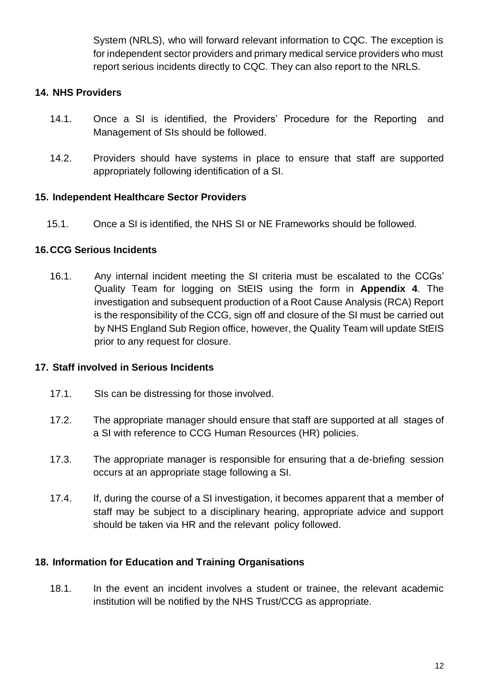System (NRLS), who will forward relevant information to CQC. The exception is for independent sector providers and primary medical service providers who must report serious incidents directly to CQC. They can also report to the NRLS.

### **14. NHS Providers**

- 14.1. Once a SI is identified, the Providers' Procedure for the Reporting and Management of SIs should be followed.
- 14.2. Providers should have systems in place to ensure that staff are supported appropriately following identification of a SI.

### **15. Independent Healthcare Sector Providers**

15.1. Once a SI is identified, the NHS SI or NE Frameworks should be followed.

### **16.CCG Serious Incidents**

16.1. Any internal incident meeting the SI criteria must be escalated to the CCGs' Quality Team for logging on StEIS using the form in **Appendix 4**. The investigation and subsequent production of a Root Cause Analysis (RCA) Report is the responsibility of the CCG, sign off and closure of the SI must be carried out by NHS England Sub Region office, however, the Quality Team will update StEIS prior to any request for closure.

### **17. Staff involved in Serious Incidents**

- 17.1. SIs can be distressing for those involved.
- 17.2. The appropriate manager should ensure that staff are supported at all stages of a SI with reference to CCG Human Resources (HR) policies.
- 17.3. The appropriate manager is responsible for ensuring that a de-briefing session occurs at an appropriate stage following a SI.
- 17.4. If, during the course of a SI investigation, it becomes apparent that a member of staff may be subject to a disciplinary hearing, appropriate advice and support should be taken via HR and the relevant policy followed.

### **18. Information for Education and Training Organisations**

18.1. In the event an incident involves a student or trainee, the relevant academic institution will be notified by the NHS Trust/CCG as appropriate.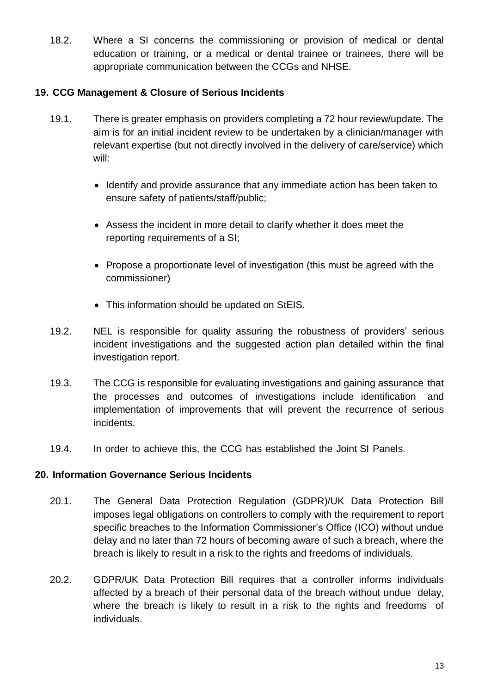18.2. Where a SI concerns the commissioning or provision of medical or dental education or training, or a medical or dental trainee or trainees, there will be appropriate communication between the CCGs and NHSE.

### **19. CCG Management & Closure of Serious Incidents**

- 19.1. There is greater emphasis on providers completing a 72 hour review/update. The aim is for an initial incident review to be undertaken by a clinician/manager with relevant expertise (but not directly involved in the delivery of care/service) which will:
	- Identify and provide assurance that any immediate action has been taken to ensure safety of patients/staff/public;
	- Assess the incident in more detail to clarify whether it does meet the reporting requirements of a SI;
	- Propose a proportionate level of investigation (this must be agreed with the commissioner)
	- This information should be updated on StEIS.
- 19.2. NEL is responsible for quality assuring the robustness of providers' serious incident investigations and the suggested action plan detailed within the final investigation report.
- 19.3. The CCG is responsible for evaluating investigations and gaining assurance that the processes and outcomes of investigations include identification and implementation of improvements that will prevent the recurrence of serious incidents.
- 19.4. In order to achieve this, the CCG has established the Joint SI Panels.

### **20. Information Governance Serious Incidents**

- 20.1. The General Data Protection Regulation (GDPR)/UK Data Protection Bill imposes legal obligations on controllers to comply with the requirement to report specific breaches to the Information Commissioner's Office (ICO) without undue delay and no later than 72 hours of becoming aware of such a breach, where the breach is likely to result in a risk to the rights and freedoms of individuals.
- 20.2. GDPR/UK Data Protection Bill requires that a controller informs individuals affected by a breach of their personal data of the breach without undue delay, where the breach is likely to result in a risk to the rights and freedoms of individuals.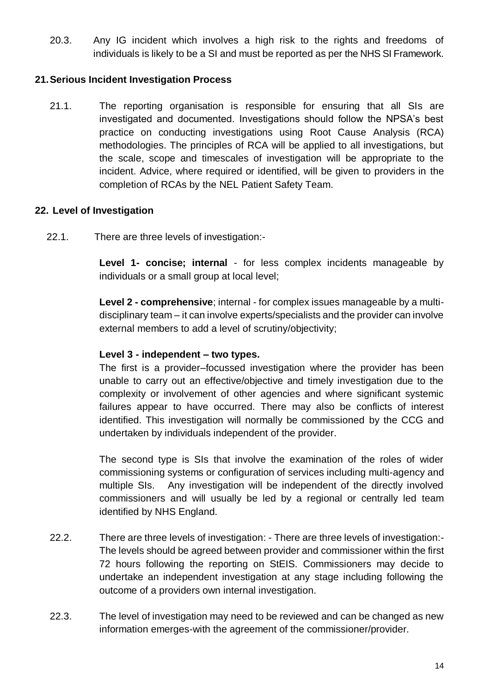20.3. Any IG incident which involves a high risk to the rights and freedoms of individuals is likely to be a SI and must be reported as per the NHS SI Framework.

### **21.Serious Incident Investigation Process**

21.1. The reporting organisation is responsible for ensuring that all SIs are investigated and documented. Investigations should follow the NPSA's best practice on conducting investigations using Root Cause Analysis (RCA) methodologies. The principles of RCA will be applied to all investigations, but the scale, scope and timescales of investigation will be appropriate to the incident. Advice, where required or identified, will be given to providers in the completion of RCAs by the NEL Patient Safety Team.

### **22. Level of Investigation**

22.1. There are three levels of investigation:-

**Level 1- concise; internal** - for less complex incidents manageable by individuals or a small group at local level;

**Level 2 - comprehensive**; internal - for complex issues manageable by a multidisciplinary team – it can involve experts/specialists and the provider can involve external members to add a level of scrutiny/objectivity;

### **Level 3 - independent – two types.**

The first is a provider–focussed investigation where the provider has been unable to carry out an effective/objective and timely investigation due to the complexity or involvement of other agencies and where significant systemic failures appear to have occurred. There may also be conflicts of interest identified. This investigation will normally be commissioned by the CCG and undertaken by individuals independent of the provider.

The second type is SIs that involve the examination of the roles of wider commissioning systems or configuration of services including multi-agency and multiple SIs. Any investigation will be independent of the directly involved commissioners and will usually be led by a regional or centrally led team identified by NHS England.

- 22.2. There are three levels of investigation: There are three levels of investigation:- The levels should be agreed between provider and commissioner within the first 72 hours following the reporting on StEIS. Commissioners may decide to undertake an independent investigation at any stage including following the outcome of a providers own internal investigation.
- 22.3. The level of investigation may need to be reviewed and can be changed as new information emerges-with the agreement of the commissioner/provider.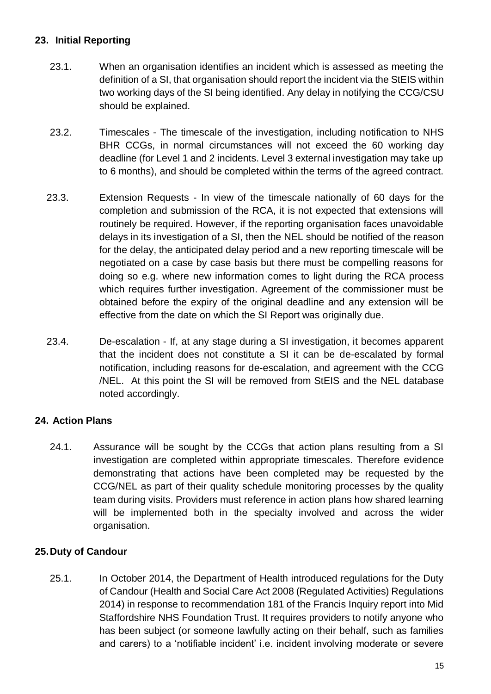### **23. Initial Reporting**

- 23.1. When an organisation identifies an incident which is assessed as meeting the definition of a SI, that organisation should report the incident via the StEIS within two working days of the SI being identified. Any delay in notifying the CCG/CSU should be explained.
- 23.2. Timescales The timescale of the investigation, including notification to NHS BHR CCGs, in normal circumstances will not exceed the 60 working day deadline (for Level 1 and 2 incidents. Level 3 external investigation may take up to 6 months), and should be completed within the terms of the agreed contract.
- 23.3. Extension Requests In view of the timescale nationally of 60 days for the completion and submission of the RCA, it is not expected that extensions will routinely be required. However, if the reporting organisation faces unavoidable delays in its investigation of a SI, then the NEL should be notified of the reason for the delay, the anticipated delay period and a new reporting timescale will be negotiated on a case by case basis but there must be compelling reasons for doing so e.g. where new information comes to light during the RCA process which requires further investigation. Agreement of the commissioner must be obtained before the expiry of the original deadline and any extension will be effective from the date on which the SI Report was originally due.
- 23.4. De-escalation If, at any stage during a SI investigation, it becomes apparent that the incident does not constitute a SI it can be de-escalated by formal notification, including reasons for de-escalation, and agreement with the CCG /NEL. At this point the SI will be removed from StEIS and the NEL database noted accordingly.

### **24. Action Plans**

24.1. Assurance will be sought by the CCGs that action plans resulting from a SI investigation are completed within appropriate timescales. Therefore evidence demonstrating that actions have been completed may be requested by the CCG/NEL as part of their quality schedule monitoring processes by the quality team during visits. Providers must reference in action plans how shared learning will be implemented both in the specialty involved and across the wider organisation.

### **25.Duty of Candour**

25.1. In October 2014, the Department of Health introduced regulations for the Duty of Candour (Health and Social Care Act 2008 (Regulated Activities) Regulations 2014) in response to recommendation 181 of the Francis Inquiry report into Mid Staffordshire NHS Foundation Trust. It requires providers to notify anyone who has been subject (or someone lawfully acting on their behalf, such as families and carers) to a 'notifiable incident' i.e. incident involving moderate or severe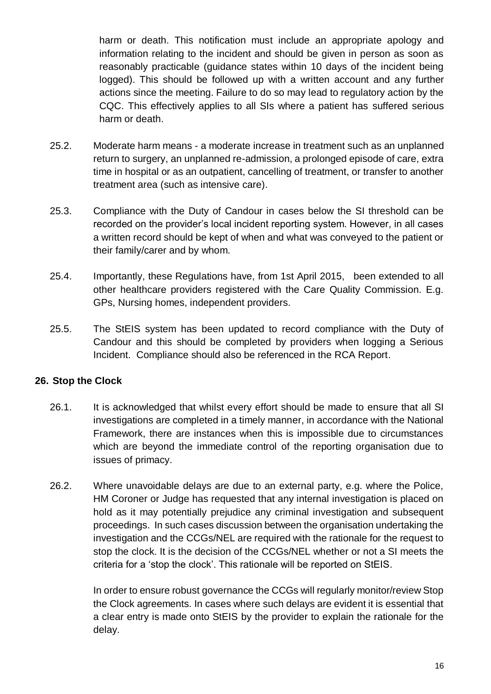harm or death. This notification must include an appropriate apology and information relating to the incident and should be given in person as soon as reasonably practicable (guidance states within 10 days of the incident being logged). This should be followed up with a written account and any further actions since the meeting. Failure to do so may lead to regulatory action by the CQC. This effectively applies to all SIs where a patient has suffered serious harm or death.

- 25.2. Moderate harm means a moderate increase in treatment such as an unplanned return to surgery, an unplanned re-admission, a prolonged episode of care, extra time in hospital or as an outpatient, cancelling of treatment, or transfer to another treatment area (such as intensive care).
- 25.3. Compliance with the Duty of Candour in cases below the SI threshold can be recorded on the provider's local incident reporting system. However, in all cases a written record should be kept of when and what was conveyed to the patient or their family/carer and by whom.
- 25.4. Importantly, these Regulations have, from 1st April 2015, been extended to all other healthcare providers registered with the Care Quality Commission. E.g. GPs, Nursing homes, independent providers.
- 25.5. The StEIS system has been updated to record compliance with the Duty of Candour and this should be completed by providers when logging a Serious Incident. Compliance should also be referenced in the RCA Report.

### **26. Stop the Clock**

- 26.1. It is acknowledged that whilst every effort should be made to ensure that all SI investigations are completed in a timely manner, in accordance with the National Framework, there are instances when this is impossible due to circumstances which are beyond the immediate control of the reporting organisation due to issues of primacy.
- 26.2. Where unavoidable delays are due to an external party, e.g. where the Police, HM Coroner or Judge has requested that any internal investigation is placed on hold as it may potentially prejudice any criminal investigation and subsequent proceedings. In such cases discussion between the organisation undertaking the investigation and the CCGs/NEL are required with the rationale for the request to stop the clock. It is the decision of the CCGs/NEL whether or not a SI meets the criteria for a 'stop the clock'. This rationale will be reported on StEIS.

In order to ensure robust governance the CCGs will regularly monitor/review Stop the Clock agreements. In cases where such delays are evident it is essential that a clear entry is made onto StEIS by the provider to explain the rationale for the delay.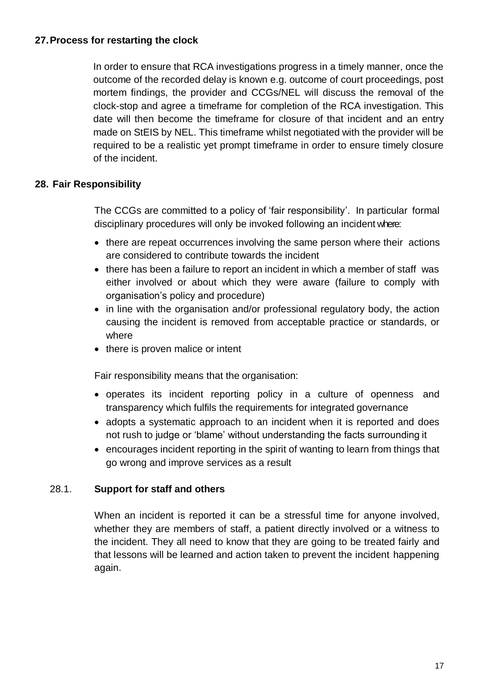#### **27.Process for restarting the clock**

In order to ensure that RCA investigations progress in a timely manner, once the outcome of the recorded delay is known e.g. outcome of court proceedings, post mortem findings, the provider and CCGs/NEL will discuss the removal of the clock-stop and agree a timeframe for completion of the RCA investigation. This date will then become the timeframe for closure of that incident and an entry made on StEIS by NEL. This timeframe whilst negotiated with the provider will be required to be a realistic yet prompt timeframe in order to ensure timely closure of the incident.

### **28. Fair Responsibility**

The CCGs are committed to a policy of 'fair responsibility'. In particular formal disciplinary procedures will only be invoked following an incident where:

- there are repeat occurrences involving the same person where their actions are considered to contribute towards the incident
- there has been a failure to report an incident in which a member of staff was either involved or about which they were aware (failure to comply with organisation's policy and procedure)
- in line with the organisation and/or professional regulatory body, the action causing the incident is removed from acceptable practice or standards, or where
- there is proven malice or intent

Fair responsibility means that the organisation:

- operates its incident reporting policy in a culture of openness and transparency which fulfils the requirements for integrated governance
- adopts a systematic approach to an incident when it is reported and does not rush to judge or 'blame' without understanding the facts surrounding it
- encourages incident reporting in the spirit of wanting to learn from things that go wrong and improve services as a result

### 28.1. **Support for staff and others**

When an incident is reported it can be a stressful time for anyone involved, whether they are members of staff, a patient directly involved or a witness to the incident. They all need to know that they are going to be treated fairly and that lessons will be learned and action taken to prevent the incident happening again.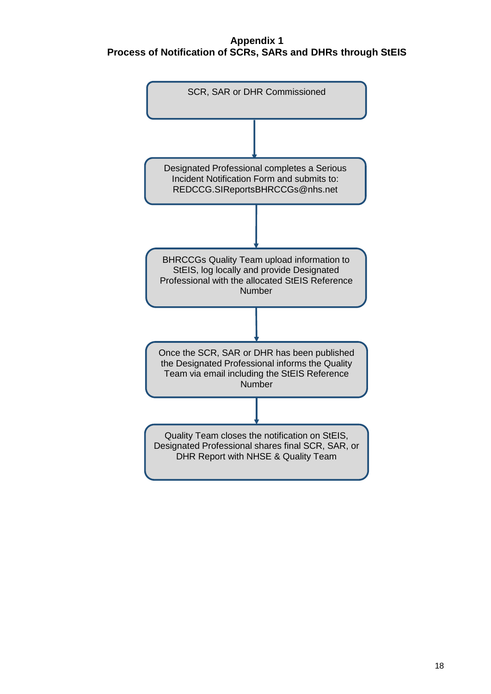#### **Appendix 1 Process of Notification of SCRs, SARs and DHRs through StEIS**

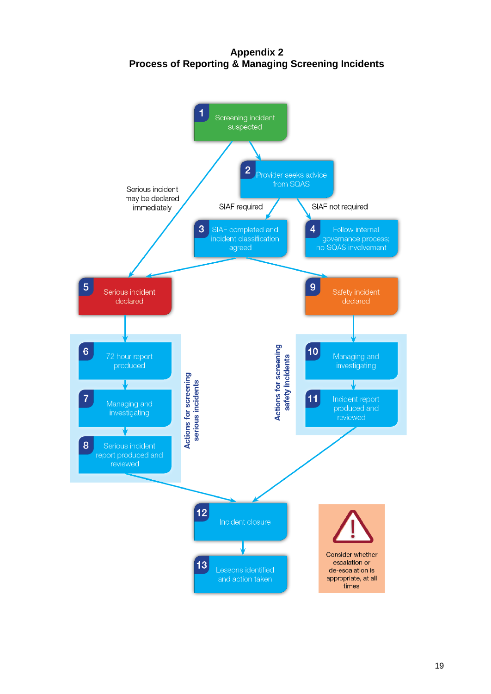**Appendix 2 Process of Reporting & Managing Screening Incidents**

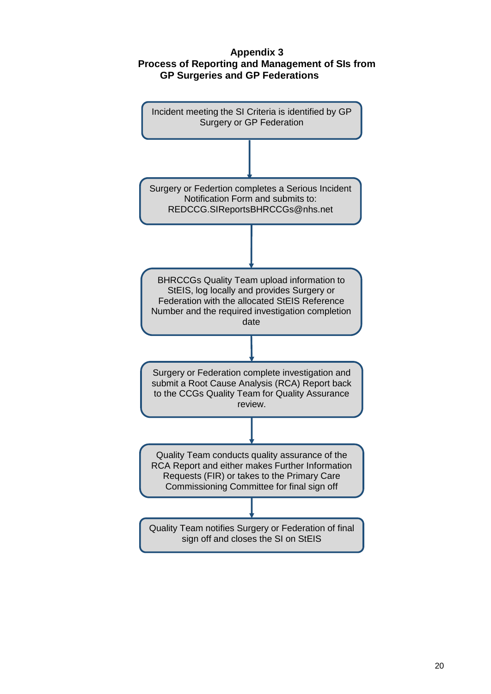#### **Appendix 3 Process of Reporting and Management of SIs from GP Surgeries and GP Federations**

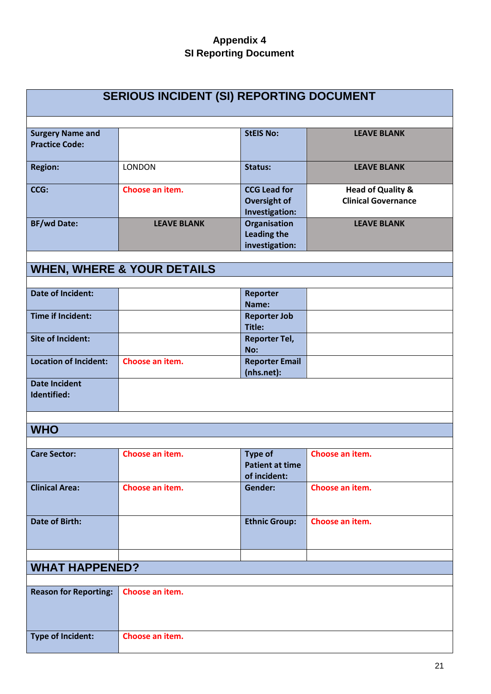# **Appendix 4 SI Reporting Document**

| <b>SERIOUS INCIDENT (SI) REPORTING DOCUMENT</b>  |                                       |                                                              |                                                            |
|--------------------------------------------------|---------------------------------------|--------------------------------------------------------------|------------------------------------------------------------|
|                                                  |                                       |                                                              |                                                            |
| <b>Surgery Name and</b><br><b>Practice Code:</b> |                                       | <b>StEIS No:</b>                                             | <b>LEAVE BLANK</b>                                         |
| <b>Region:</b>                                   | <b>LONDON</b>                         | <b>Status:</b>                                               | <b>LEAVE BLANK</b>                                         |
| CCG:                                             | Choose an item.                       | <b>CCG Lead for</b><br><b>Oversight of</b><br>Investigation: | <b>Head of Quality &amp;</b><br><b>Clinical Governance</b> |
| <b>BF/wd Date:</b>                               | <b>LEAVE BLANK</b>                    | Organisation<br><b>Leading the</b><br>investigation:         | <b>LEAVE BLANK</b>                                         |
|                                                  | <b>WHEN, WHERE &amp; YOUR DETAILS</b> |                                                              |                                                            |
|                                                  |                                       |                                                              |                                                            |
| <b>Date of Incident:</b>                         |                                       | Reporter<br>Name:                                            |                                                            |
| <b>Time if Incident:</b>                         |                                       | <b>Reporter Job</b><br>Title:                                |                                                            |
| <b>Site of Incident:</b>                         |                                       | <b>Reporter Tel,</b><br>No:                                  |                                                            |
| <b>Location of Incident:</b>                     | Choose an item.                       | <b>Reporter Email</b><br>(nhs.net):                          |                                                            |
| <b>Date Incident</b><br>Identified:              |                                       |                                                              |                                                            |
|                                                  |                                       |                                                              |                                                            |
| <b>WHO</b>                                       |                                       |                                                              |                                                            |
| <b>Care Sector:</b>                              | Choose an item.                       | <b>Type of</b><br><b>Patient at time</b><br>of incident:     | Choose an item.                                            |
| <b>Clinical Area:</b>                            | Choose an item.                       | <b>Gender:</b>                                               | Choose an item.                                            |
| <b>Date of Birth:</b>                            |                                       | <b>Ethnic Group:</b>                                         | Choose an item.                                            |
| <b>WHAT HAPPENED?</b>                            |                                       |                                                              |                                                            |
|                                                  |                                       |                                                              |                                                            |
| <b>Reason for Reporting:</b>                     | Choose an item.                       |                                                              |                                                            |
| <b>Type of Incident:</b>                         | Choose an item.                       |                                                              |                                                            |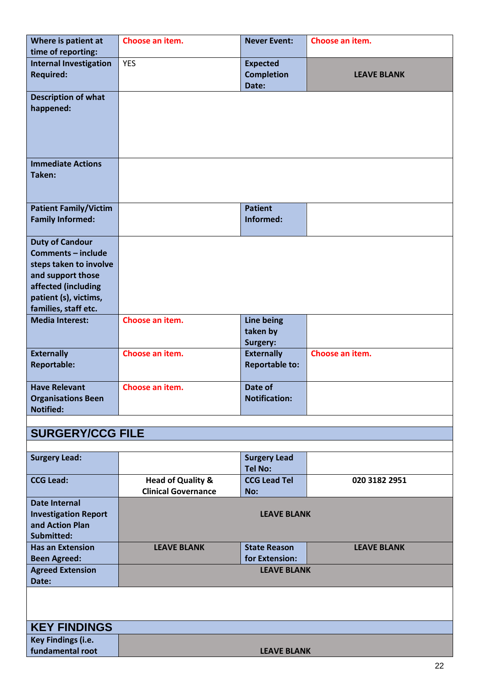| Where is patient at           | Choose an item.              | <b>Never Event:</b>                        | Choose an item.    |
|-------------------------------|------------------------------|--------------------------------------------|--------------------|
| time of reporting:            |                              |                                            |                    |
| <b>Internal Investigation</b> | <b>YES</b>                   | <b>Expected</b>                            |                    |
| <b>Required:</b>              |                              | <b>Completion</b>                          | <b>LEAVE BLANK</b> |
|                               |                              | Date:                                      |                    |
| <b>Description of what</b>    |                              |                                            |                    |
| happened:                     |                              |                                            |                    |
|                               |                              |                                            |                    |
|                               |                              |                                            |                    |
|                               |                              |                                            |                    |
|                               |                              |                                            |                    |
| <b>Immediate Actions</b>      |                              |                                            |                    |
| Taken:                        |                              |                                            |                    |
|                               |                              |                                            |                    |
| <b>Patient Family/Victim</b>  |                              | <b>Patient</b>                             |                    |
| <b>Family Informed:</b>       |                              | Informed:                                  |                    |
|                               |                              |                                            |                    |
| <b>Duty of Candour</b>        |                              |                                            |                    |
| Comments - include            |                              |                                            |                    |
| steps taken to involve        |                              |                                            |                    |
| and support those             |                              |                                            |                    |
| affected (including           |                              |                                            |                    |
| patient (s), victims,         |                              |                                            |                    |
| families, staff etc.          |                              |                                            |                    |
| <b>Media Interest:</b>        | Choose an item.              | Line being                                 |                    |
|                               |                              | taken by                                   |                    |
|                               |                              | Surgery:                                   |                    |
| <b>Externally</b>             | Choose an item.              | <b>Externally</b><br><b>Reportable to:</b> | Choose an item.    |
| <b>Reportable:</b>            |                              |                                            |                    |
| <b>Have Relevant</b>          | Choose an item.              | Date of                                    |                    |
| <b>Organisations Been</b>     |                              | <b>Notification:</b>                       |                    |
| <b>Notified:</b>              |                              |                                            |                    |
|                               |                              |                                            |                    |
| <b>SURGERY/CCG FILE</b>       |                              |                                            |                    |
|                               |                              |                                            |                    |
| <b>Surgery Lead:</b>          |                              | <b>Surgery Lead</b>                        |                    |
|                               |                              | <b>Tel No:</b>                             |                    |
| <b>CCG Lead:</b>              | <b>Head of Quality &amp;</b> | <b>CCG Lead Tel</b>                        | 020 3182 2951      |
|                               | <b>Clinical Governance</b>   | No:                                        |                    |
| <b>Date Internal</b>          |                              |                                            |                    |
| <b>Investigation Report</b>   |                              | <b>LEAVE BLANK</b>                         |                    |
| and Action Plan<br>Submitted: |                              |                                            |                    |
| <b>Has an Extension</b>       | <b>LEAVE BLANK</b>           | <b>State Reason</b>                        | <b>LEAVE BLANK</b> |
| <b>Been Agreed:</b>           |                              | for Extension:                             |                    |
| <b>Agreed Extension</b>       |                              | <b>LEAVE BLANK</b>                         |                    |
| Date:                         |                              |                                            |                    |
|                               |                              |                                            |                    |
|                               |                              |                                            |                    |
|                               |                              |                                            |                    |
| <b>KEY FINDINGS</b>           |                              |                                            |                    |
| Key Findings (i.e.            |                              |                                            |                    |
| fundamental root              |                              | <b>LEAVE BLANK</b>                         |                    |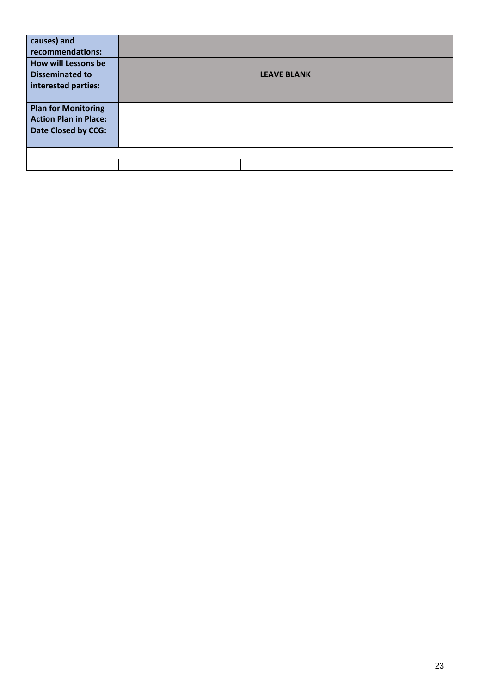| <b>LEAVE BLANK</b> |
|--------------------|
|                    |
|                    |
|                    |
|                    |